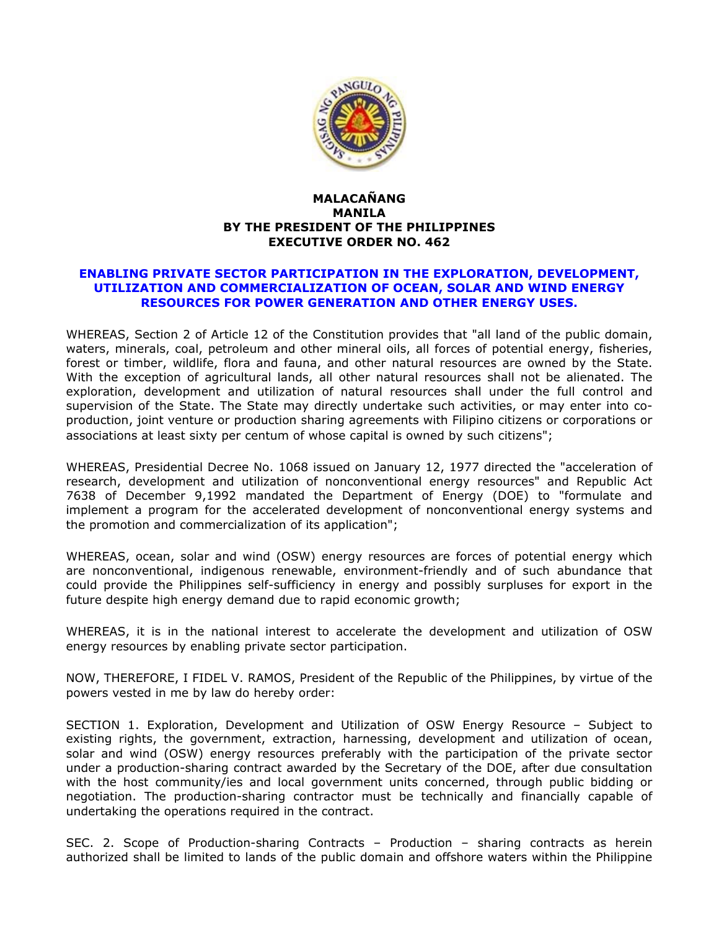

## **MALACAÑANG MANILA BY THE PRESIDENT OF THE PHILIPPINES EXECUTIVE ORDER NO. 462**

## **ENABLING PRIVATE SECTOR PARTICIPATION IN THE EXPLORATION, DEVELOPMENT, UTILIZATION AND COMMERCIALIZATION OF OCEAN, SOLAR AND WIND ENERGY RESOURCES FOR POWER GENERATION AND OTHER ENERGY USES.**

WHEREAS, Section 2 of Article 12 of the Constitution provides that "all land of the public domain, waters, minerals, coal, petroleum and other mineral oils, all forces of potential energy, fisheries, forest or timber, wildlife, flora and fauna, and other natural resources are owned by the State. With the exception of agricultural lands, all other natural resources shall not be alienated. The exploration, development and utilization of natural resources shall under the full control and supervision of the State. The State may directly undertake such activities, or may enter into coproduction, joint venture or production sharing agreements with Filipino citizens or corporations or associations at least sixty per centum of whose capital is owned by such citizens";

WHEREAS, Presidential Decree No. 1068 issued on January 12, 1977 directed the "acceleration of research, development and utilization of nonconventional energy resources" and Republic Act 7638 of December 9,1992 mandated the Department of Energy (DOE) to "formulate and implement a program for the accelerated development of nonconventional energy systems and the promotion and commercialization of its application";

WHEREAS, ocean, solar and wind (OSW) energy resources are forces of potential energy which are nonconventional, indigenous renewable, environment-friendly and of such abundance that could provide the Philippines self-sufficiency in energy and possibly surpluses for export in the future despite high energy demand due to rapid economic growth;

WHEREAS, it is in the national interest to accelerate the development and utilization of OSW energy resources by enabling private sector participation.

NOW, THEREFORE, I FIDEL V. RAMOS, President of the Republic of the Philippines, by virtue of the powers vested in me by law do hereby order:

SECTION 1. Exploration, Development and Utilization of OSW Energy Resource – Subject to existing rights, the government, extraction, harnessing, development and utilization of ocean, solar and wind (OSW) energy resources preferably with the participation of the private sector under a production-sharing contract awarded by the Secretary of the DOE, after due consultation with the host community/ies and local government units concerned, through public bidding or negotiation. The production-sharing contractor must be technically and financially capable of undertaking the operations required in the contract.

SEC. 2. Scope of Production-sharing Contracts – Production – sharing contracts as herein authorized shall be limited to lands of the public domain and offshore waters within the Philippine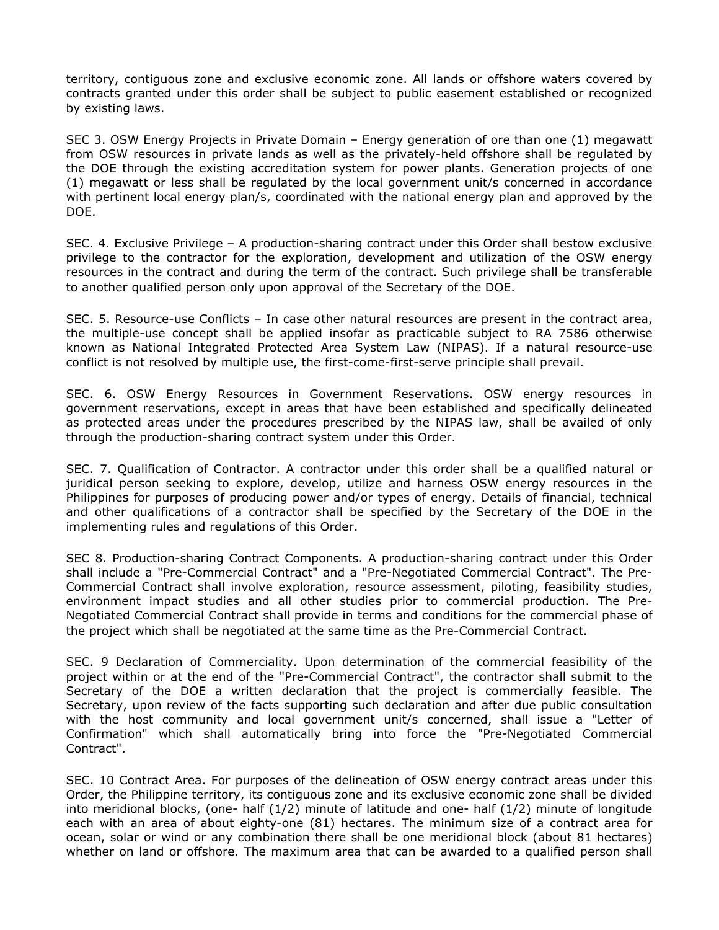territory, contiguous zone and exclusive economic zone. All lands or offshore waters covered by contracts granted under this order shall be subject to public easement established or recognized by existing laws.

SEC 3. OSW Energy Projects in Private Domain – Energy generation of ore than one (1) megawatt from OSW resources in private lands as well as the privately-held offshore shall be regulated by the DOE through the existing accreditation system for power plants. Generation projects of one (1) megawatt or less shall be regulated by the local government unit/s concerned in accordance with pertinent local energy plan/s, coordinated with the national energy plan and approved by the DOE.

SEC. 4. Exclusive Privilege – A production-sharing contract under this Order shall bestow exclusive privilege to the contractor for the exploration, development and utilization of the OSW energy resources in the contract and during the term of the contract. Such privilege shall be transferable to another qualified person only upon approval of the Secretary of the DOE.

SEC. 5. Resource-use Conflicts – In case other natural resources are present in the contract area, the multiple-use concept shall be applied insofar as practicable subject to RA 7586 otherwise known as National Integrated Protected Area System Law (NIPAS). If a natural resource-use conflict is not resolved by multiple use, the first-come-first-serve principle shall prevail.

SEC. 6. OSW Energy Resources in Government Reservations. OSW energy resources in government reservations, except in areas that have been established and specifically delineated as protected areas under the procedures prescribed by the NIPAS law, shall be availed of only through the production-sharing contract system under this Order.

SEC. 7. Qualification of Contractor. A contractor under this order shall be a qualified natural or juridical person seeking to explore, develop, utilize and harness OSW energy resources in the Philippines for purposes of producing power and/or types of energy. Details of financial, technical and other qualifications of a contractor shall be specified by the Secretary of the DOE in the implementing rules and regulations of this Order.

SEC 8. Production-sharing Contract Components. A production-sharing contract under this Order shall include a "Pre-Commercial Contract" and a "Pre-Negotiated Commercial Contract". The Pre-Commercial Contract shall involve exploration, resource assessment, piloting, feasibility studies, environment impact studies and all other studies prior to commercial production. The Pre-Negotiated Commercial Contract shall provide in terms and conditions for the commercial phase of the project which shall be negotiated at the same time as the Pre-Commercial Contract.

SEC. 9 Declaration of Commerciality. Upon determination of the commercial feasibility of the project within or at the end of the "Pre-Commercial Contract", the contractor shall submit to the Secretary of the DOE a written declaration that the project is commercially feasible. The Secretary, upon review of the facts supporting such declaration and after due public consultation with the host community and local government unit/s concerned, shall issue a "Letter of Confirmation" which shall automatically bring into force the "Pre-Negotiated Commercial Contract".

SEC. 10 Contract Area. For purposes of the delineation of OSW energy contract areas under this Order, the Philippine territory, its contiguous zone and its exclusive economic zone shall be divided into meridional blocks, (one- half (1/2) minute of latitude and one- half (1/2) minute of longitude each with an area of about eighty-one (81) hectares. The minimum size of a contract area for ocean, solar or wind or any combination there shall be one meridional block (about 81 hectares) whether on land or offshore. The maximum area that can be awarded to a qualified person shall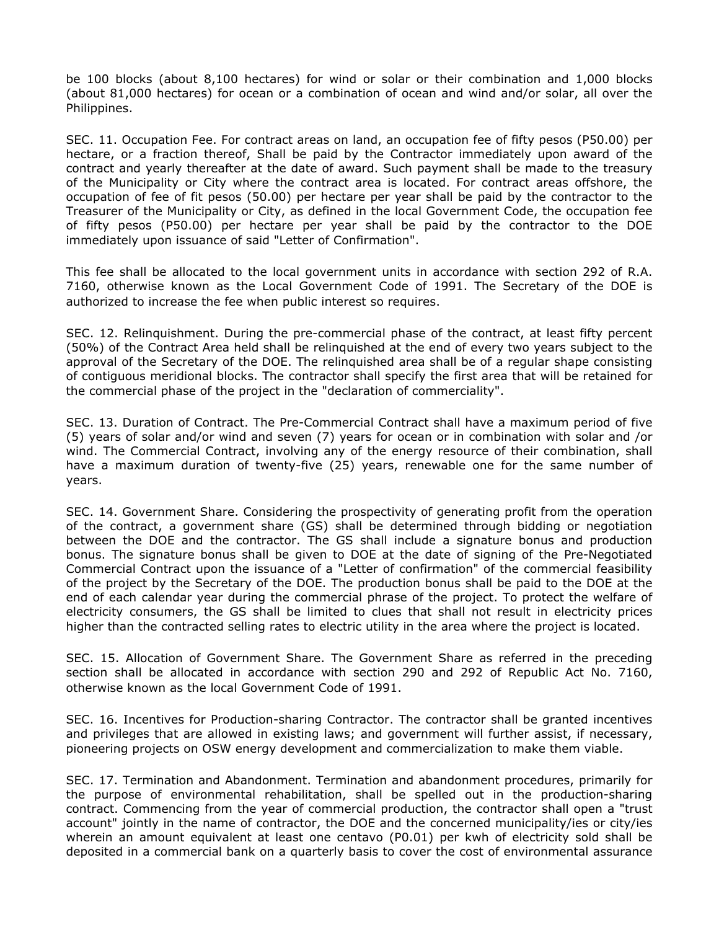be 100 blocks (about 8,100 hectares) for wind or solar or their combination and 1,000 blocks (about 81,000 hectares) for ocean or a combination of ocean and wind and/or solar, all over the Philippines.

SEC. 11. Occupation Fee. For contract areas on land, an occupation fee of fifty pesos (P50.00) per hectare, or a fraction thereof, Shall be paid by the Contractor immediately upon award of the contract and yearly thereafter at the date of award. Such payment shall be made to the treasury of the Municipality or City where the contract area is located. For contract areas offshore, the occupation of fee of fit pesos (50.00) per hectare per year shall be paid by the contractor to the Treasurer of the Municipality or City, as defined in the local Government Code, the occupation fee of fifty pesos (P50.00) per hectare per year shall be paid by the contractor to the DOE immediately upon issuance of said "Letter of Confirmation".

This fee shall be allocated to the local government units in accordance with section 292 of R.A. 7160, otherwise known as the Local Government Code of 1991. The Secretary of the DOE is authorized to increase the fee when public interest so requires.

SEC. 12. Relinquishment. During the pre-commercial phase of the contract, at least fifty percent (50%) of the Contract Area held shall be relinquished at the end of every two years subject to the approval of the Secretary of the DOE. The relinquished area shall be of a regular shape consisting of contiguous meridional blocks. The contractor shall specify the first area that will be retained for the commercial phase of the project in the "declaration of commerciality".

SEC. 13. Duration of Contract. The Pre-Commercial Contract shall have a maximum period of five (5) years of solar and/or wind and seven (7) years for ocean or in combination with solar and /or wind. The Commercial Contract, involving any of the energy resource of their combination, shall have a maximum duration of twenty-five (25) years, renewable one for the same number of years.

SEC. 14. Government Share. Considering the prospectivity of generating profit from the operation of the contract, a government share (GS) shall be determined through bidding or negotiation between the DOE and the contractor. The GS shall include a signature bonus and production bonus. The signature bonus shall be given to DOE at the date of signing of the Pre-Negotiated Commercial Contract upon the issuance of a "Letter of confirmation" of the commercial feasibility of the project by the Secretary of the DOE. The production bonus shall be paid to the DOE at the end of each calendar year during the commercial phrase of the project. To protect the welfare of electricity consumers, the GS shall be limited to clues that shall not result in electricity prices higher than the contracted selling rates to electric utility in the area where the project is located.

SEC. 15. Allocation of Government Share. The Government Share as referred in the preceding section shall be allocated in accordance with section 290 and 292 of Republic Act No. 7160, otherwise known as the local Government Code of 1991.

SEC. 16. Incentives for Production-sharing Contractor. The contractor shall be granted incentives and privileges that are allowed in existing laws; and government will further assist, if necessary, pioneering projects on OSW energy development and commercialization to make them viable.

SEC. 17. Termination and Abandonment. Termination and abandonment procedures, primarily for the purpose of environmental rehabilitation, shall be spelled out in the production-sharing contract. Commencing from the year of commercial production, the contractor shall open a "trust account" jointly in the name of contractor, the DOE and the concerned municipality/ies or city/ies wherein an amount equivalent at least one centavo (P0.01) per kwh of electricity sold shall be deposited in a commercial bank on a quarterly basis to cover the cost of environmental assurance